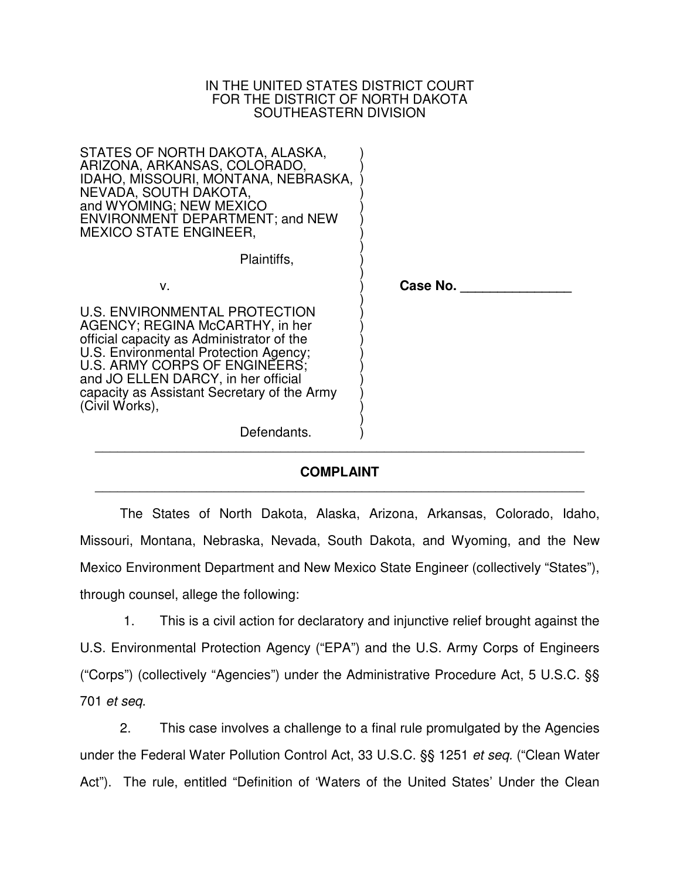### IN THE UNITED STATES DISTRICT COURT FOR THE DISTRICT OF NORTH DAKOTA SOUTHEASTERN DIVISION

| STATES OF NORTH DAKOTA, ALASKA,<br>ARIZONA, ARKANSAS, COLORADO,<br>IDAHO, MISSOURI, MONTANA, NEBRASKA,<br>NEVADA, SOUTH DAKOTA,<br>and WYOMING; NEW MEXICO<br><b>ENVIRONMENT DEPARTMENT; and NEW</b><br><b>MEXICO STATE ENGINEER,</b>                                                           |          |
|-------------------------------------------------------------------------------------------------------------------------------------------------------------------------------------------------------------------------------------------------------------------------------------------------|----------|
| Plaintiffs,                                                                                                                                                                                                                                                                                     |          |
| v.                                                                                                                                                                                                                                                                                              | Case No. |
| U.S. ENVIRONMENTAL PROTECTION<br>AGENCY; REGINA McCARTHY, in her<br>official capacity as Administrator of the<br>U.S. Environmental Protection Agency;<br>U.S. ARMY CORPS OF ENGINEERS;<br>and JO ELLEN DARCY, in her official<br>capacity as Assistant Secretary of the Army<br>(Civil Works), |          |
| Defendants.                                                                                                                                                                                                                                                                                     |          |

### **COMPLAINT** \_\_\_\_\_\_\_\_\_\_\_\_\_\_\_\_\_\_\_\_\_\_\_\_\_\_\_\_\_\_\_\_\_\_\_\_\_\_\_\_\_\_\_\_\_\_\_\_\_\_\_\_\_\_\_\_\_\_\_\_\_\_\_\_\_\_

The States of North Dakota, Alaska, Arizona, Arkansas, Colorado, Idaho, Missouri, Montana, Nebraska, Nevada, South Dakota, and Wyoming, and the New Mexico Environment Department and New Mexico State Engineer (collectively "States"), through counsel, allege the following:

 1. This is a civil action for declaratory and injunctive relief brought against the U.S. Environmental Protection Agency ("EPA") and the U.S. Army Corps of Engineers ("Corps") (collectively "Agencies") under the Administrative Procedure Act, 5 U.S.C. §§ 701 *et seq*.

2. This case involves a challenge to a final rule promulgated by the Agencies under the Federal Water Pollution Control Act, 33 U.S.C. §§ 1251 *et seq.* ("Clean Water Act"). The rule, entitled "Definition of 'Waters of the United States' Under the Clean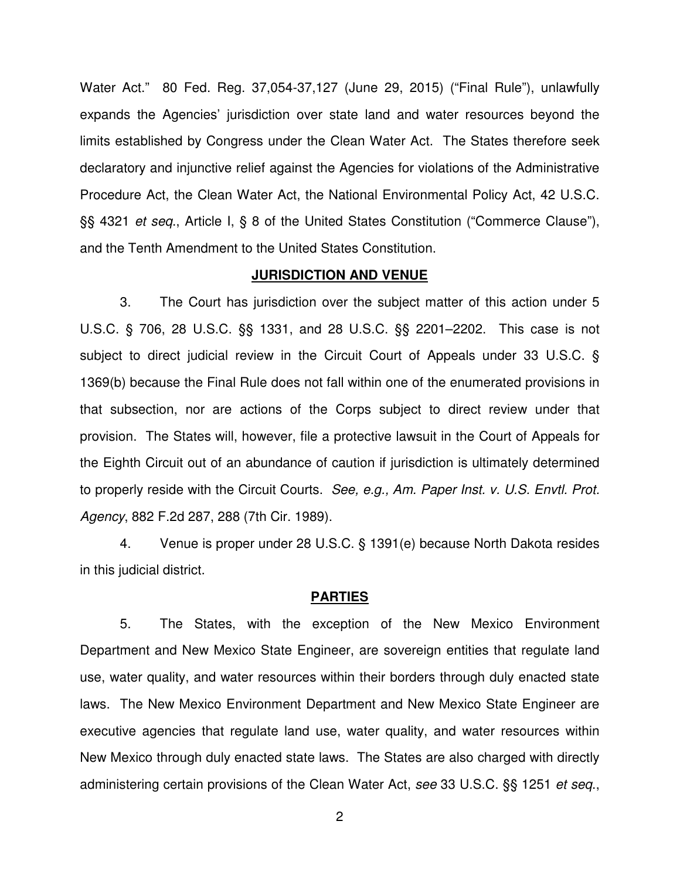Water Act." 80 Fed. Reg. 37,054-37,127 (June 29, 2015) ("Final Rule"), unlawfully expands the Agencies' jurisdiction over state land and water resources beyond the limits established by Congress under the Clean Water Act. The States therefore seek declaratory and injunctive relief against the Agencies for violations of the Administrative Procedure Act, the Clean Water Act, the National Environmental Policy Act, 42 U.S.C. §§ 4321 *et seq*., Article I, § 8 of the United States Constitution ("Commerce Clause"), and the Tenth Amendment to the United States Constitution.

#### **JURISDICTION AND VENUE**

3. The Court has jurisdiction over the subject matter of this action under 5 U.S.C. § 706, 28 U.S.C. §§ 1331, and 28 U.S.C. §§ 2201–2202. This case is not subject to direct judicial review in the Circuit Court of Appeals under 33 U.S.C. § 1369(b) because the Final Rule does not fall within one of the enumerated provisions in that subsection, nor are actions of the Corps subject to direct review under that provision. The States will, however, file a protective lawsuit in the Court of Appeals for the Eighth Circuit out of an abundance of caution if jurisdiction is ultimately determined to properly reside with the Circuit Courts. *See, e.g., Am. Paper Inst. v. U.S. Envtl. Prot. Agency*, 882 F.2d 287, 288 (7th Cir. 1989).

4. Venue is proper under 28 U.S.C. § 1391(e) because North Dakota resides in this judicial district.

#### **PARTIES**

 5. The States, with the exception of the New Mexico Environment Department and New Mexico State Engineer, are sovereign entities that regulate land use, water quality, and water resources within their borders through duly enacted state laws. The New Mexico Environment Department and New Mexico State Engineer are executive agencies that regulate land use, water quality, and water resources within New Mexico through duly enacted state laws. The States are also charged with directly administering certain provisions of the Clean Water Act, *see* 33 U.S.C. §§ 1251 *et seq*.,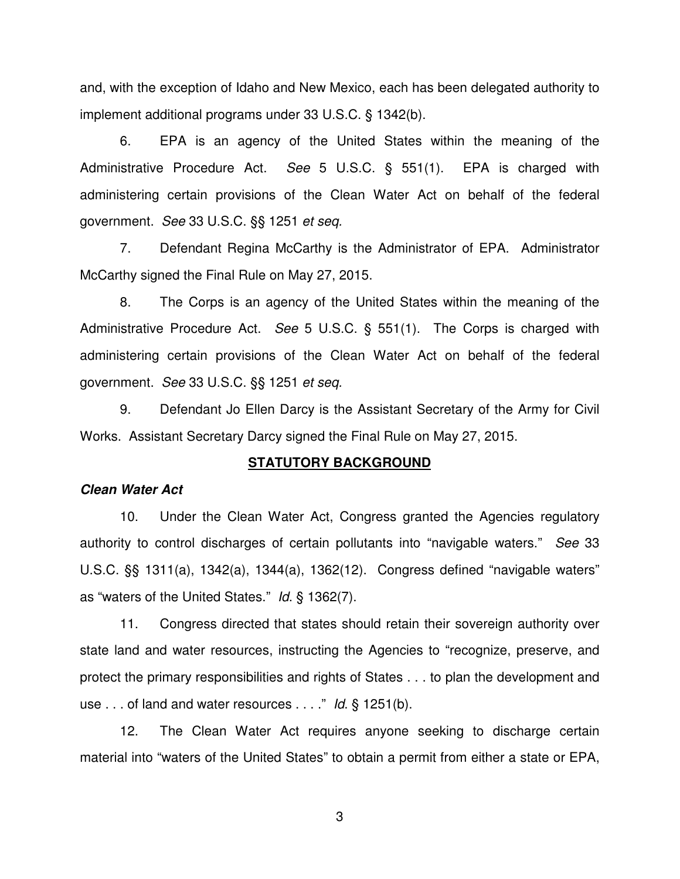and, with the exception of Idaho and New Mexico, each has been delegated authority to implement additional programs under 33 U.S.C. § 1342(b).

6. EPA is an agency of the United States within the meaning of the Administrative Procedure Act. *See* 5 U.S.C. § 551(1). EPA is charged with administering certain provisions of the Clean Water Act on behalf of the federal government. *See* 33 U.S.C. §§ 1251 *et seq.*

7. Defendant Regina McCarthy is the Administrator of EPA. Administrator McCarthy signed the Final Rule on May 27, 2015.

8. The Corps is an agency of the United States within the meaning of the Administrative Procedure Act. *See* 5 U.S.C. § 551(1). The Corps is charged with administering certain provisions of the Clean Water Act on behalf of the federal government. *See* 33 U.S.C. §§ 1251 *et seq.*

9. Defendant Jo Ellen Darcy is the Assistant Secretary of the Army for Civil Works. Assistant Secretary Darcy signed the Final Rule on May 27, 2015.

### **STATUTORY BACKGROUND**

### **Clean Water Act**

10. Under the Clean Water Act, Congress granted the Agencies regulatory authority to control discharges of certain pollutants into "navigable waters." *See* 33 U.S.C. §§ 1311(a), 1342(a), 1344(a), 1362(12). Congress defined "navigable waters" as "waters of the United States." *Id*. § 1362(7).

11. Congress directed that states should retain their sovereign authority over state land and water resources, instructing the Agencies to "recognize, preserve, and protect the primary responsibilities and rights of States . . . to plan the development and use . . . of land and water resources . . . ." *Id*. § 1251(b).

12. The Clean Water Act requires anyone seeking to discharge certain material into "waters of the United States" to obtain a permit from either a state or EPA,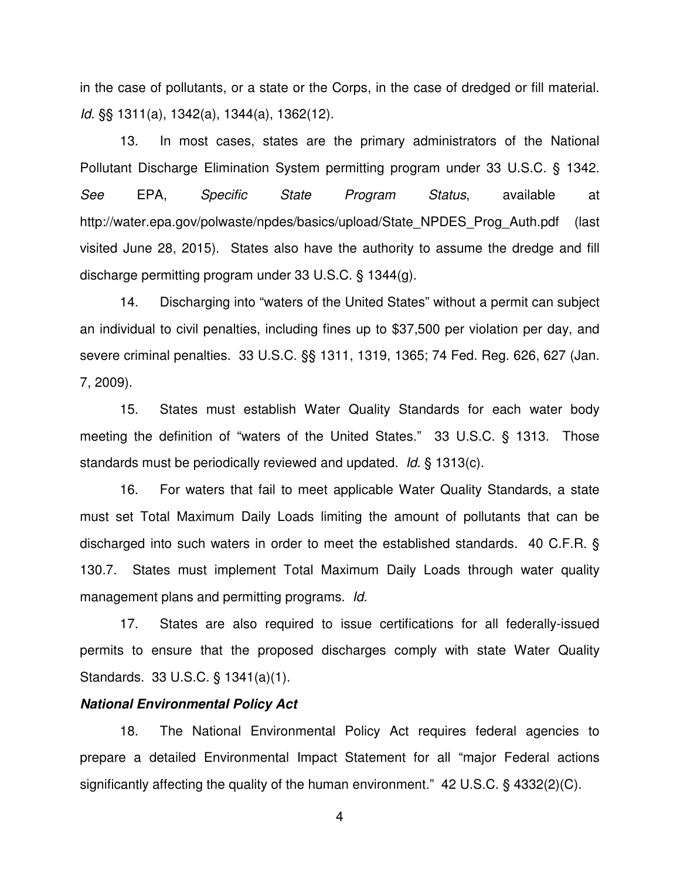in the case of pollutants, or a state or the Corps, in the case of dredged or fill material. *Id*. §§ 1311(a), 1342(a), 1344(a), 1362(12).

13. In most cases, states are the primary administrators of the National Pollutant Discharge Elimination System permitting program under 33 U.S.C. § 1342. *See* EPA, *Specific State Program Status*, available at http://water.epa.gov/polwaste/npdes/basics/upload/State\_NPDES\_Prog\_Auth.pdf (last visited June 28, 2015). States also have the authority to assume the dredge and fill discharge permitting program under 33 U.S.C. § 1344(g).

14. Discharging into "waters of the United States" without a permit can subject an individual to civil penalties, including fines up to \$37,500 per violation per day, and severe criminal penalties. 33 U.S.C. §§ 1311, 1319, 1365; 74 Fed. Reg. 626, 627 (Jan. 7, 2009).

15. States must establish Water Quality Standards for each water body meeting the definition of "waters of the United States." 33 U.S.C. § 1313. Those standards must be periodically reviewed and updated. *Id*. § 1313(c).

16. For waters that fail to meet applicable Water Quality Standards, a state must set Total Maximum Daily Loads limiting the amount of pollutants that can be discharged into such waters in order to meet the established standards. 40 C.F.R. § 130.7. States must implement Total Maximum Daily Loads through water quality management plans and permitting programs. *Id*.

17. States are also required to issue certifications for all federally-issued permits to ensure that the proposed discharges comply with state Water Quality Standards. 33 U.S.C. § 1341(a)(1).

#### **National Environmental Policy Act**

18. The National Environmental Policy Act requires federal agencies to prepare a detailed Environmental Impact Statement for all "major Federal actions significantly affecting the quality of the human environment." 42 U.S.C. § 4332(2)(C).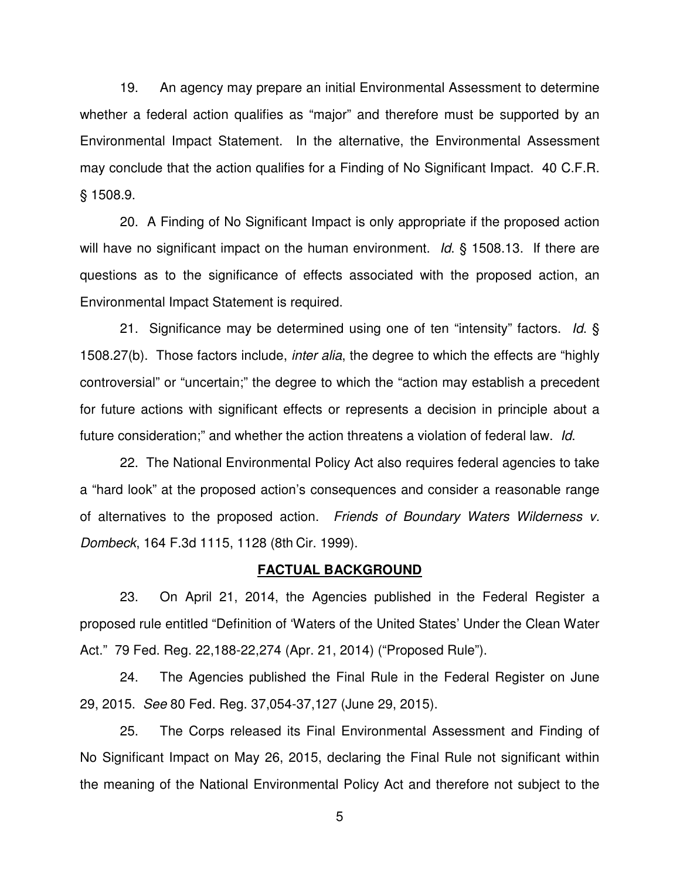19. An agency may prepare an initial Environmental Assessment to determine whether a federal action qualifies as "major" and therefore must be supported by an Environmental Impact Statement. In the alternative, the Environmental Assessment may conclude that the action qualifies for a Finding of No Significant Impact. 40 C.F.R. § 1508.9.

20. A Finding of No Significant Impact is only appropriate if the proposed action will have no significant impact on the human environment. *Id*. § 1508.13. If there are questions as to the significance of effects associated with the proposed action, an Environmental Impact Statement is required.

21. Significance may be determined using one of ten "intensity" factors. *Id*. § 1508.27(b). Those factors include, *inter alia*, the degree to which the effects are "highly controversial" or "uncertain;" the degree to which the "action may establish a precedent for future actions with significant effects or represents a decision in principle about a future consideration;" and whether the action threatens a violation of federal law. *Id*.

22. The National Environmental Policy Act also requires federal agencies to take a "hard look" at the proposed action's consequences and consider a reasonable range of alternatives to the proposed action. *Friends of Boundary Waters Wilderness v. Dombeck*, 164 F.3d 1115, 1128 (8th Cir. 1999).

### **FACTUAL BACKGROUND**

23. On April 21, 2014, the Agencies published in the Federal Register a proposed rule entitled "Definition of 'Waters of the United States' Under the Clean Water Act." 79 Fed. Reg. 22,188-22,274 (Apr. 21, 2014) ("Proposed Rule").

24. The Agencies published the Final Rule in the Federal Register on June 29, 2015. *See* 80 Fed. Reg. 37,054-37,127 (June 29, 2015).

25. The Corps released its Final Environmental Assessment and Finding of No Significant Impact on May 26, 2015, declaring the Final Rule not significant within the meaning of the National Environmental Policy Act and therefore not subject to the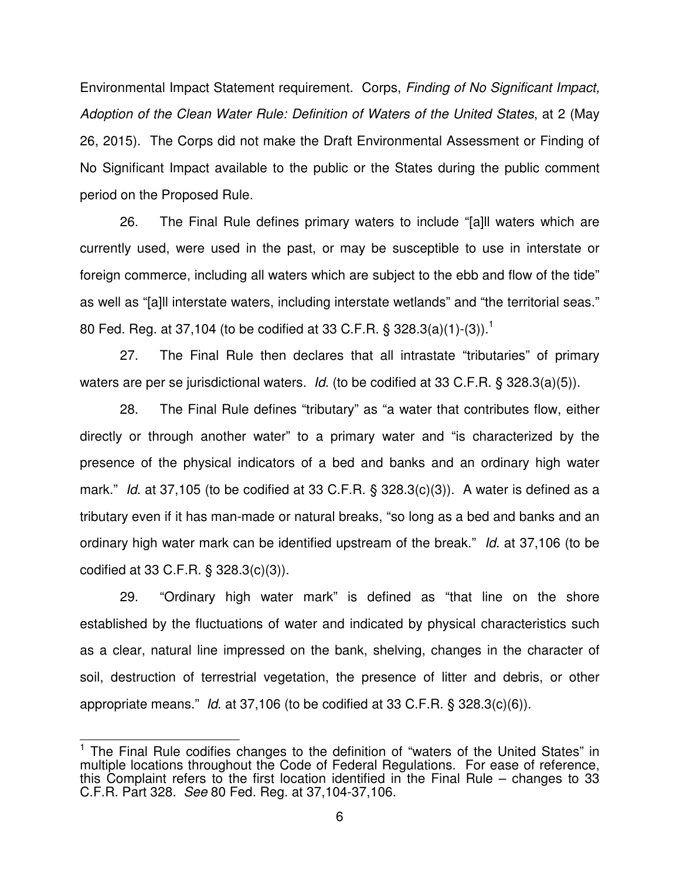Environmental Impact Statement requirement. Corps, *Finding of No Significant Impact, Adoption of the Clean Water Rule: Definition of Waters of the United States*, at 2 (May 26, 2015). The Corps did not make the Draft Environmental Assessment or Finding of No Significant Impact available to the public or the States during the public comment period on the Proposed Rule.

26. The Final Rule defines primary waters to include "[a]ll waters which are currently used, were used in the past, or may be susceptible to use in interstate or foreign commerce, including all waters which are subject to the ebb and flow of the tide" as well as "[a]ll interstate waters, including interstate wetlands" and "the territorial seas." 80 Fed. Reg. at 37,104 (to be codified at 33 C.F.R. § 328.3(a)(1)-(3)).<sup>1</sup>

27. The Final Rule then declares that all intrastate "tributaries" of primary waters are per se jurisdictional waters. *Id*. (to be codified at 33 C.F.R. § 328.3(a)(5)).

28. The Final Rule defines "tributary" as "a water that contributes flow, either directly or through another water" to a primary water and "is characterized by the presence of the physical indicators of a bed and banks and an ordinary high water mark." *Id*. at 37,105 (to be codified at 33 C.F.R. § 328.3(c)(3)). A water is defined as a tributary even if it has man-made or natural breaks, "so long as a bed and banks and an ordinary high water mark can be identified upstream of the break." *Id*. at 37,106 (to be codified at 33 C.F.R. § 328.3(c)(3)).

29. "Ordinary high water mark" is defined as "that line on the shore established by the fluctuations of water and indicated by physical characteristics such as a clear, natural line impressed on the bank, shelving, changes in the character of soil, destruction of terrestrial vegetation, the presence of litter and debris, or other appropriate means." *Id*. at 37,106 (to be codified at 33 C.F.R. § 328.3(c)(6)).

 $\overline{a}$ 

<sup>&</sup>lt;sup>1</sup> The Final Rule codifies changes to the definition of "waters of the United States" in multiple locations throughout the Code of Federal Regulations. For ease of reference, this Complaint refers to the first location identified in the Final Rule – changes to 33 C.F.R. Part 328. *See* 80 Fed. Reg. at 37,104-37,106.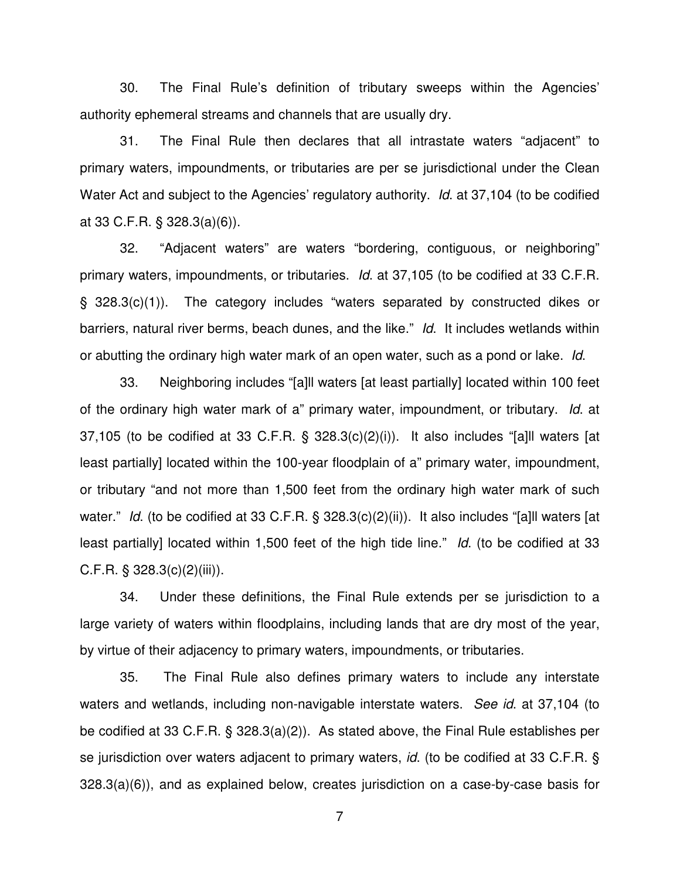30. The Final Rule's definition of tributary sweeps within the Agencies' authority ephemeral streams and channels that are usually dry.

31. The Final Rule then declares that all intrastate waters "adjacent" to primary waters, impoundments, or tributaries are per se jurisdictional under the Clean Water Act and subject to the Agencies' regulatory authority. *Id*. at 37,104 (to be codified at 33 C.F.R. § 328.3(a)(6)).

32. "Adjacent waters" are waters "bordering, contiguous, or neighboring" primary waters, impoundments, or tributaries. *Id*. at 37,105 (to be codified at 33 C.F.R. § 328.3(c)(1)). The category includes "waters separated by constructed dikes or barriers, natural river berms, beach dunes, and the like." *Id*. It includes wetlands within or abutting the ordinary high water mark of an open water, such as a pond or lake. *Id*.

33. Neighboring includes "[a]ll waters [at least partially] located within 100 feet of the ordinary high water mark of a" primary water, impoundment, or tributary. *Id*. at 37,105 (to be codified at 33 C.F.R. § 328.3(c)(2)(i)). It also includes "[a]ll waters [at least partially] located within the 100-year floodplain of a" primary water, impoundment, or tributary "and not more than 1,500 feet from the ordinary high water mark of such water." *Id.* (to be codified at 33 C.F.R. § 328.3(c)(2)(ii)). It also includes "[a]ll waters [at least partially] located within 1,500 feet of the high tide line." *Id*. (to be codified at 33 C.F.R.  $\S$  328.3(c)(2)(iii)).

34. Under these definitions, the Final Rule extends per se jurisdiction to a large variety of waters within floodplains, including lands that are dry most of the year, by virtue of their adjacency to primary waters, impoundments, or tributaries.

35. The Final Rule also defines primary waters to include any interstate waters and wetlands, including non-navigable interstate waters. *See id*. at 37,104 (to be codified at 33 C.F.R. § 328.3(a)(2)). As stated above, the Final Rule establishes per se jurisdiction over waters adjacent to primary waters, *id*. (to be codified at 33 C.F.R. § 328.3(a)(6)), and as explained below, creates jurisdiction on a case-by-case basis for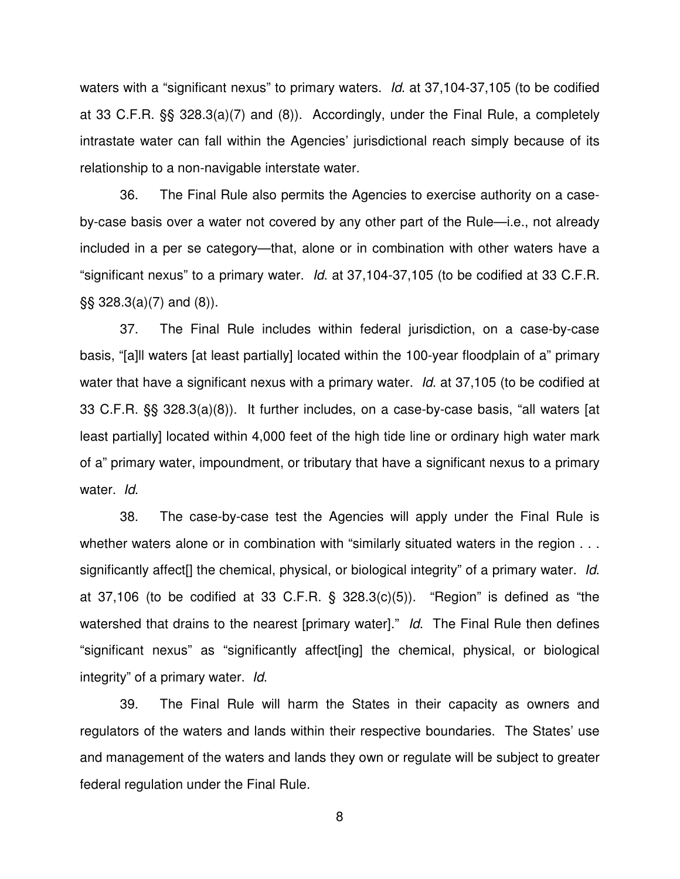waters with a "significant nexus" to primary waters. *Id*. at 37,104-37,105 (to be codified at 33 C.F.R. §§ 328.3(a)(7) and (8)). Accordingly, under the Final Rule, a completely intrastate water can fall within the Agencies' jurisdictional reach simply because of its relationship to a non-navigable interstate water.

36. The Final Rule also permits the Agencies to exercise authority on a caseby-case basis over a water not covered by any other part of the Rule—i.e., not already included in a per se category—that, alone or in combination with other waters have a "significant nexus" to a primary water. *Id*. at 37,104-37,105 (to be codified at 33 C.F.R. §§ 328.3(a)(7) and (8)).

37. The Final Rule includes within federal jurisdiction, on a case-by-case basis, "[a]ll waters [at least partially] located within the 100-year floodplain of a" primary water that have a significant nexus with a primary water. *Id*. at 37,105 (to be codified at 33 C.F.R. §§ 328.3(a)(8)). It further includes, on a case-by-case basis, "all waters [at least partially] located within 4,000 feet of the high tide line or ordinary high water mark of a" primary water, impoundment, or tributary that have a significant nexus to a primary water. *Id*.

38. The case-by-case test the Agencies will apply under the Final Rule is whether waters alone or in combination with "similarly situated waters in the region . . . significantly affect[] the chemical, physical, or biological integrity" of a primary water. *Id*. at  $37,106$  (to be codified at  $33$  C.F.R. §  $328.3(c)(5)$ ). "Region" is defined as "the watershed that drains to the nearest [primary water]." *Id*. The Final Rule then defines "significant nexus" as "significantly affect[ing] the chemical, physical, or biological integrity" of a primary water. *Id*.

39. The Final Rule will harm the States in their capacity as owners and regulators of the waters and lands within their respective boundaries. The States' use and management of the waters and lands they own or regulate will be subject to greater federal regulation under the Final Rule.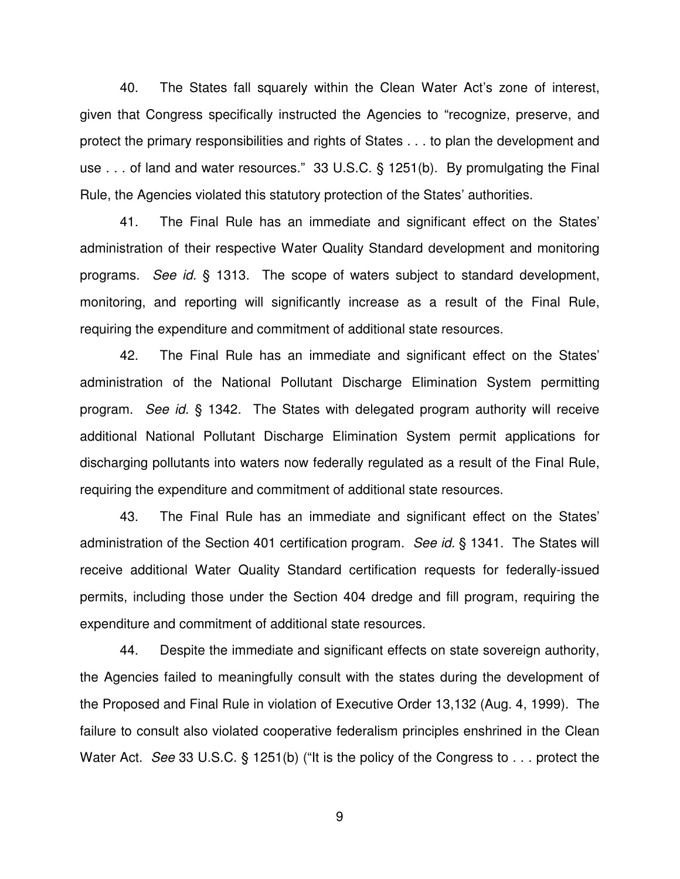40. The States fall squarely within the Clean Water Act's zone of interest, given that Congress specifically instructed the Agencies to "recognize, preserve, and protect the primary responsibilities and rights of States . . . to plan the development and use . . . of land and water resources." 33 U.S.C. § 1251(b). By promulgating the Final Rule, the Agencies violated this statutory protection of the States' authorities.

41. The Final Rule has an immediate and significant effect on the States' administration of their respective Water Quality Standard development and monitoring programs. *See id.* § 1313. The scope of waters subject to standard development, monitoring, and reporting will significantly increase as a result of the Final Rule, requiring the expenditure and commitment of additional state resources.

42. The Final Rule has an immediate and significant effect on the States' administration of the National Pollutant Discharge Elimination System permitting program. *See id.* § 1342. The States with delegated program authority will receive additional National Pollutant Discharge Elimination System permit applications for discharging pollutants into waters now federally regulated as a result of the Final Rule, requiring the expenditure and commitment of additional state resources.

43. The Final Rule has an immediate and significant effect on the States' administration of the Section 401 certification program. *See id.* § 1341. The States will receive additional Water Quality Standard certification requests for federally-issued permits, including those under the Section 404 dredge and fill program, requiring the expenditure and commitment of additional state resources.

44. Despite the immediate and significant effects on state sovereign authority, the Agencies failed to meaningfully consult with the states during the development of the Proposed and Final Rule in violation of Executive Order 13,132 (Aug. 4, 1999). The failure to consult also violated cooperative federalism principles enshrined in the Clean Water Act. *See* 33 U.S.C. § 1251(b) ("It is the policy of the Congress to . . . protect the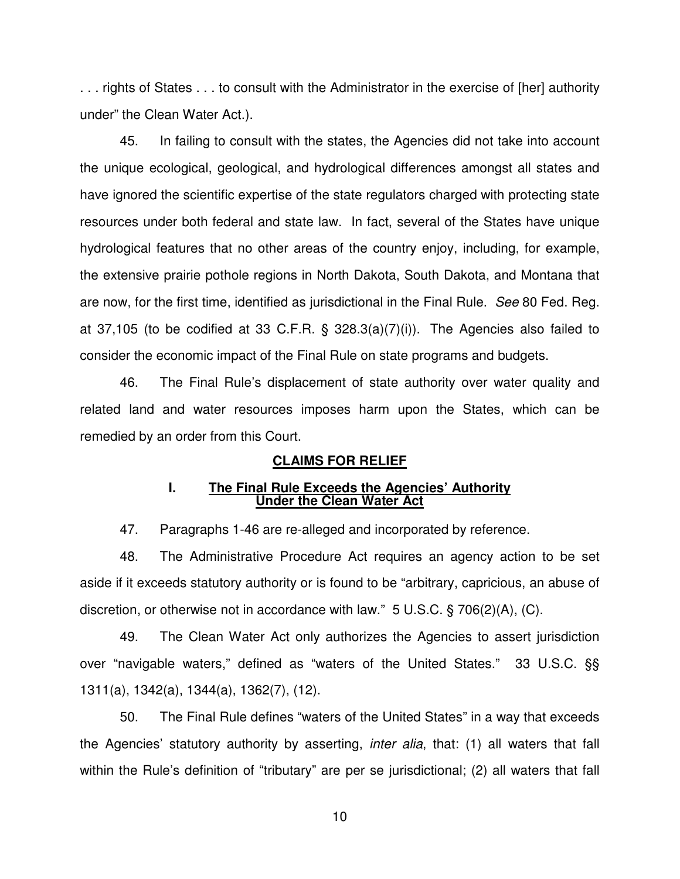. . . rights of States . . . to consult with the Administrator in the exercise of [her] authority under" the Clean Water Act.).

45. In failing to consult with the states, the Agencies did not take into account the unique ecological, geological, and hydrological differences amongst all states and have ignored the scientific expertise of the state regulators charged with protecting state resources under both federal and state law. In fact, several of the States have unique hydrological features that no other areas of the country enjoy, including, for example, the extensive prairie pothole regions in North Dakota, South Dakota, and Montana that are now, for the first time, identified as jurisdictional in the Final Rule. *See* 80 Fed. Reg. at 37,105 (to be codified at 33 C.F.R. § 328.3(a)(7)(i)). The Agencies also failed to consider the economic impact of the Final Rule on state programs and budgets.

46. The Final Rule's displacement of state authority over water quality and related land and water resources imposes harm upon the States, which can be remedied by an order from this Court.

# **CLAIMS FOR RELIEF**

### **I. The Final Rule Exceeds the Agencies' Authority Under the Clean Water Act**

47. Paragraphs 1-46 are re-alleged and incorporated by reference.

48. The Administrative Procedure Act requires an agency action to be set aside if it exceeds statutory authority or is found to be "arbitrary, capricious, an abuse of discretion, or otherwise not in accordance with law." 5 U.S.C. § 706(2)(A), (C).

49. The Clean Water Act only authorizes the Agencies to assert jurisdiction over "navigable waters," defined as "waters of the United States." 33 U.S.C. §§ 1311(a), 1342(a), 1344(a), 1362(7), (12).

50. The Final Rule defines "waters of the United States" in a way that exceeds the Agencies' statutory authority by asserting, *inter alia*, that: (1) all waters that fall within the Rule's definition of "tributary" are per se jurisdictional; (2) all waters that fall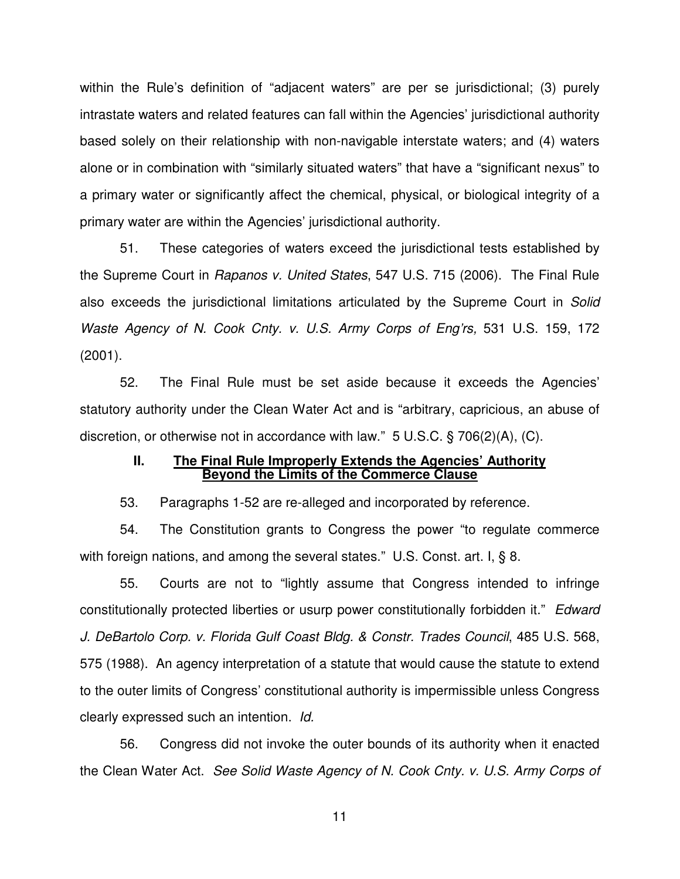within the Rule's definition of "adjacent waters" are per se jurisdictional; (3) purely intrastate waters and related features can fall within the Agencies' jurisdictional authority based solely on their relationship with non-navigable interstate waters; and (4) waters alone or in combination with "similarly situated waters" that have a "significant nexus" to a primary water or significantly affect the chemical, physical, or biological integrity of a primary water are within the Agencies' jurisdictional authority.

51. These categories of waters exceed the jurisdictional tests established by the Supreme Court in *Rapanos v. United States*, 547 U.S. 715 (2006). The Final Rule also exceeds the jurisdictional limitations articulated by the Supreme Court in *Solid Waste Agency of N. Cook Cnty. v. U.S. Army Corps of Eng'rs,* 531 U.S. 159, 172 (2001).

52. The Final Rule must be set aside because it exceeds the Agencies' statutory authority under the Clean Water Act and is "arbitrary, capricious, an abuse of discretion, or otherwise not in accordance with law." 5 U.S.C. § 706(2)(A), (C).

### **II. The Final Rule Improperly Extends the Agencies' Authority Beyond the Limits of the Commerce Clause**

53. Paragraphs 1-52 are re-alleged and incorporated by reference.

54. The Constitution grants to Congress the power "to regulate commerce with foreign nations, and among the several states." U.S. Const. art. I, § 8.

55. Courts are not to "lightly assume that Congress intended to infringe constitutionally protected liberties or usurp power constitutionally forbidden it." *Edward J. DeBartolo Corp. v. Florida Gulf Coast Bldg. & Constr. Trades Council*, 485 U.S. 568, 575 (1988). An agency interpretation of a statute that would cause the statute to extend to the outer limits of Congress' constitutional authority is impermissible unless Congress clearly expressed such an intention. *Id.*

56. Congress did not invoke the outer bounds of its authority when it enacted the Clean Water Act. *See Solid Waste Agency of N. Cook Cnty. v. U.S. Army Corps of*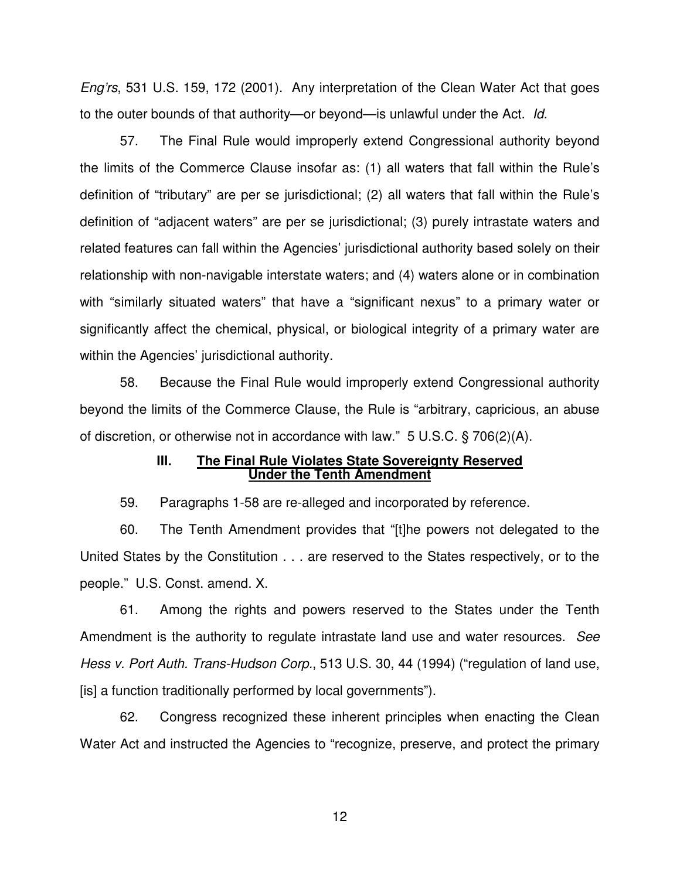*Eng'rs*, 531 U.S. 159, 172 (2001). Any interpretation of the Clean Water Act that goes to the outer bounds of that authority—or beyond—is unlawful under the Act. *Id.*

57. The Final Rule would improperly extend Congressional authority beyond the limits of the Commerce Clause insofar as: (1) all waters that fall within the Rule's definition of "tributary" are per se jurisdictional; (2) all waters that fall within the Rule's definition of "adjacent waters" are per se jurisdictional; (3) purely intrastate waters and related features can fall within the Agencies' jurisdictional authority based solely on their relationship with non-navigable interstate waters; and (4) waters alone or in combination with "similarly situated waters" that have a "significant nexus" to a primary water or significantly affect the chemical, physical, or biological integrity of a primary water are within the Agencies' jurisdictional authority.

58. Because the Final Rule would improperly extend Congressional authority beyond the limits of the Commerce Clause, the Rule is "arbitrary, capricious, an abuse of discretion, or otherwise not in accordance with law." 5 U.S.C. § 706(2)(A).

### **III. The Final Rule Violates State Sovereignty Reserved Under the Tenth Amendment**

59. Paragraphs 1-58 are re-alleged and incorporated by reference.

60. The Tenth Amendment provides that "[t]he powers not delegated to the United States by the Constitution . . . are reserved to the States respectively, or to the people." U.S. Const. amend. X.

61. Among the rights and powers reserved to the States under the Tenth Amendment is the authority to regulate intrastate land use and water resources. *See Hess v. Port Auth. Trans-Hudson Corp.*, 513 U.S. 30, 44 (1994) ("regulation of land use, [is] a function traditionally performed by local governments").

62. Congress recognized these inherent principles when enacting the Clean Water Act and instructed the Agencies to "recognize, preserve, and protect the primary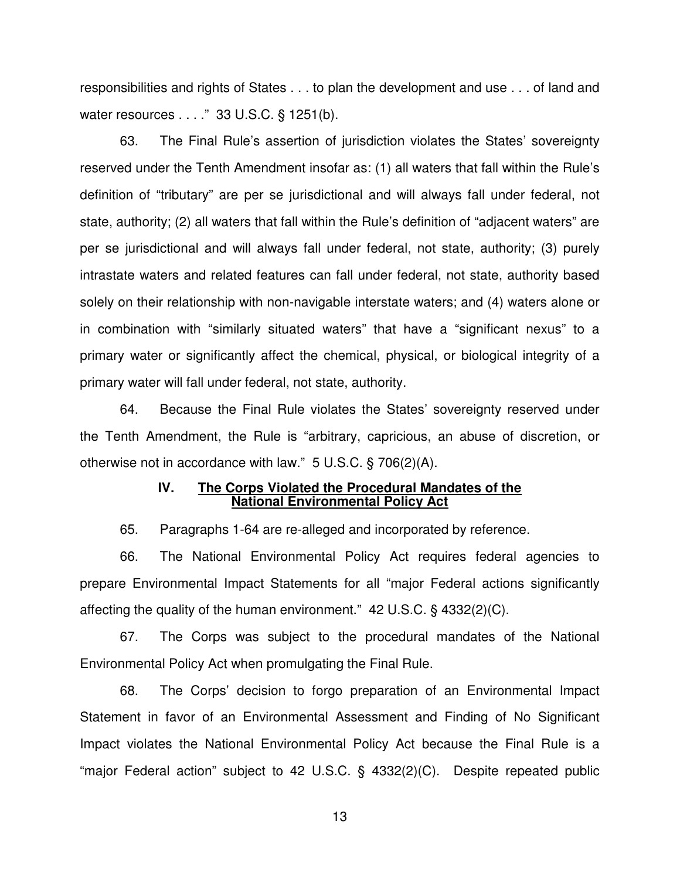responsibilities and rights of States . . . to plan the development and use . . . of land and water resources . . . ." 33 U.S.C. § 1251(b).

63. The Final Rule's assertion of jurisdiction violates the States' sovereignty reserved under the Tenth Amendment insofar as: (1) all waters that fall within the Rule's definition of "tributary" are per se jurisdictional and will always fall under federal, not state, authority; (2) all waters that fall within the Rule's definition of "adjacent waters" are per se jurisdictional and will always fall under federal, not state, authority; (3) purely intrastate waters and related features can fall under federal, not state, authority based solely on their relationship with non-navigable interstate waters; and (4) waters alone or in combination with "similarly situated waters" that have a "significant nexus" to a primary water or significantly affect the chemical, physical, or biological integrity of a primary water will fall under federal, not state, authority.

64. Because the Final Rule violates the States' sovereignty reserved under the Tenth Amendment, the Rule is "arbitrary, capricious, an abuse of discretion, or otherwise not in accordance with law." 5 U.S.C. § 706(2)(A).

### **IV. The Corps Violated the Procedural Mandates of the National Environmental Policy Act**

65. Paragraphs 1-64 are re-alleged and incorporated by reference.

66. The National Environmental Policy Act requires federal agencies to prepare Environmental Impact Statements for all "major Federal actions significantly affecting the quality of the human environment." 42 U.S.C. § 4332(2)(C).

67. The Corps was subject to the procedural mandates of the National Environmental Policy Act when promulgating the Final Rule.

68. The Corps' decision to forgo preparation of an Environmental Impact Statement in favor of an Environmental Assessment and Finding of No Significant Impact violates the National Environmental Policy Act because the Final Rule is a "major Federal action" subject to 42 U.S.C. § 4332(2)(C). Despite repeated public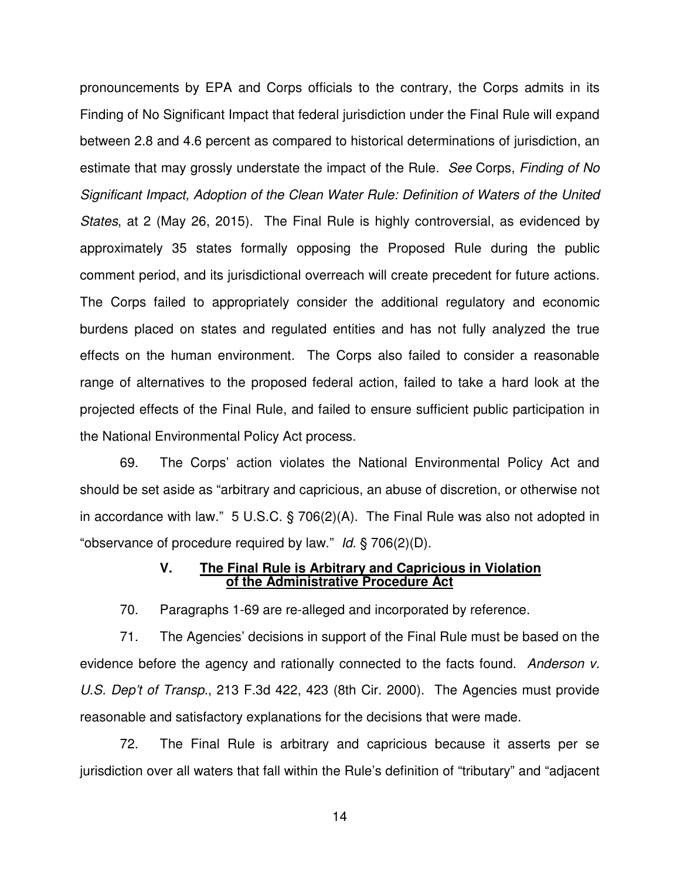pronouncements by EPA and Corps officials to the contrary, the Corps admits in its Finding of No Significant Impact that federal jurisdiction under the Final Rule will expand between 2.8 and 4.6 percent as compared to historical determinations of jurisdiction, an estimate that may grossly understate the impact of the Rule. *See* Corps, *Finding of No Significant Impact, Adoption of the Clean Water Rule: Definition of Waters of the United States*, at 2 (May 26, 2015). The Final Rule is highly controversial, as evidenced by approximately 35 states formally opposing the Proposed Rule during the public comment period, and its jurisdictional overreach will create precedent for future actions. The Corps failed to appropriately consider the additional regulatory and economic burdens placed on states and regulated entities and has not fully analyzed the true effects on the human environment. The Corps also failed to consider a reasonable range of alternatives to the proposed federal action, failed to take a hard look at the projected effects of the Final Rule, and failed to ensure sufficient public participation in the National Environmental Policy Act process.

69. The Corps' action violates the National Environmental Policy Act and should be set aside as "arbitrary and capricious, an abuse of discretion, or otherwise not in accordance with law." 5 U.S.C. § 706(2)(A). The Final Rule was also not adopted in "observance of procedure required by law." *Id*. § 706(2)(D).

# **V. The Final Rule is Arbitrary and Capricious in Violation of the Administrative Procedure Act**

70. Paragraphs 1-69 are re-alleged and incorporated by reference.

71. The Agencies' decisions in support of the Final Rule must be based on the evidence before the agency and rationally connected to the facts found. *Anderson v. U.S. Dep't of Transp.*, 213 F.3d 422, 423 (8th Cir. 2000). The Agencies must provide reasonable and satisfactory explanations for the decisions that were made.

72. The Final Rule is arbitrary and capricious because it asserts per se jurisdiction over all waters that fall within the Rule's definition of "tributary" and "adjacent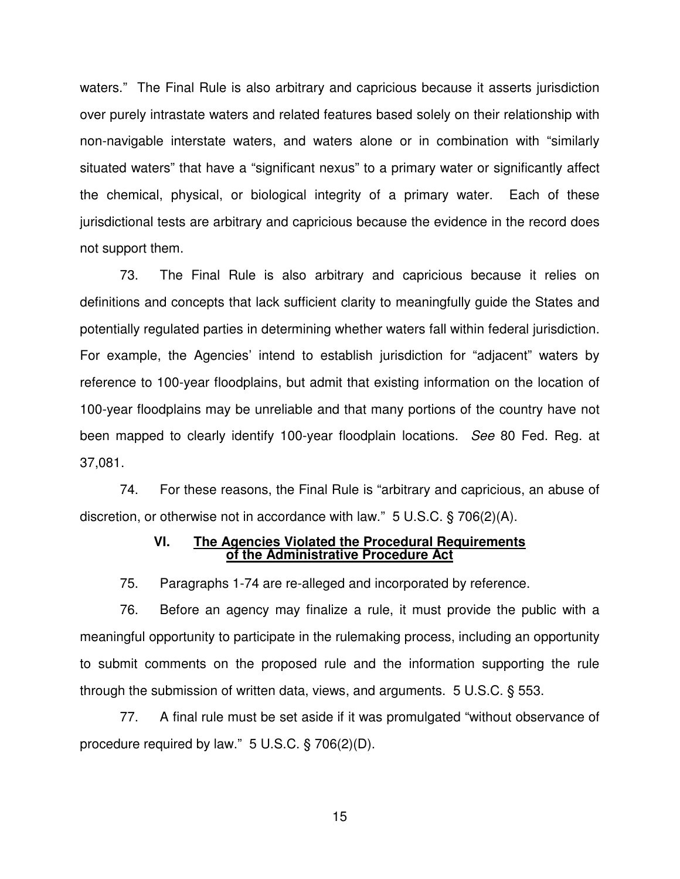waters." The Final Rule is also arbitrary and capricious because it asserts jurisdiction over purely intrastate waters and related features based solely on their relationship with non-navigable interstate waters, and waters alone or in combination with "similarly situated waters" that have a "significant nexus" to a primary water or significantly affect the chemical, physical, or biological integrity of a primary water. Each of these jurisdictional tests are arbitrary and capricious because the evidence in the record does not support them.

73. The Final Rule is also arbitrary and capricious because it relies on definitions and concepts that lack sufficient clarity to meaningfully guide the States and potentially regulated parties in determining whether waters fall within federal jurisdiction. For example, the Agencies' intend to establish jurisdiction for "adjacent" waters by reference to 100-year floodplains, but admit that existing information on the location of 100-year floodplains may be unreliable and that many portions of the country have not been mapped to clearly identify 100-year floodplain locations. *See* 80 Fed. Reg. at 37,081.

74. For these reasons, the Final Rule is "arbitrary and capricious, an abuse of discretion, or otherwise not in accordance with law." 5 U.S.C. § 706(2)(A).

# **VI. The Agencies Violated the Procedural Requirements of the Administrative Procedure Act**

75. Paragraphs 1-74 are re-alleged and incorporated by reference.

76. Before an agency may finalize a rule, it must provide the public with a meaningful opportunity to participate in the rulemaking process, including an opportunity to submit comments on the proposed rule and the information supporting the rule through the submission of written data, views, and arguments. 5 U.S.C. § 553.

77. A final rule must be set aside if it was promulgated "without observance of procedure required by law." 5 U.S.C. § 706(2)(D).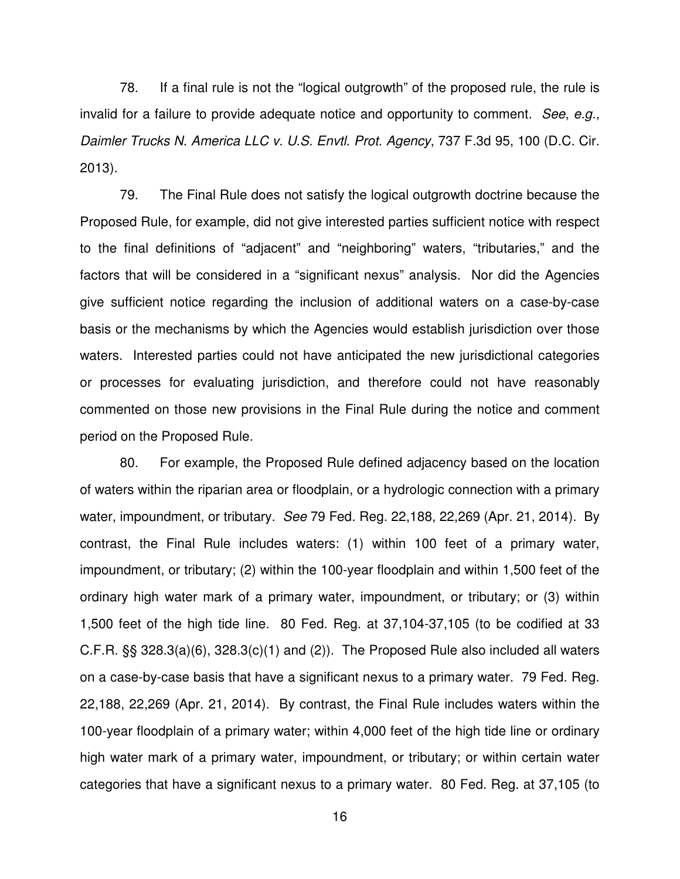78. If a final rule is not the "logical outgrowth" of the proposed rule, the rule is invalid for a failure to provide adequate notice and opportunity to comment. *See*, *e.g.*, *Daimler Trucks N. America LLC v. U.S. Envtl. Prot. Agency*, 737 F.3d 95, 100 (D.C. Cir. 2013).

79. The Final Rule does not satisfy the logical outgrowth doctrine because the Proposed Rule, for example, did not give interested parties sufficient notice with respect to the final definitions of "adjacent" and "neighboring" waters, "tributaries," and the factors that will be considered in a "significant nexus" analysis. Nor did the Agencies give sufficient notice regarding the inclusion of additional waters on a case-by-case basis or the mechanisms by which the Agencies would establish jurisdiction over those waters. Interested parties could not have anticipated the new jurisdictional categories or processes for evaluating jurisdiction, and therefore could not have reasonably commented on those new provisions in the Final Rule during the notice and comment period on the Proposed Rule.

80. For example, the Proposed Rule defined adjacency based on the location of waters within the riparian area or floodplain, or a hydrologic connection with a primary water, impoundment, or tributary. *See* 79 Fed. Reg. 22,188, 22,269 (Apr. 21, 2014). By contrast, the Final Rule includes waters: (1) within 100 feet of a primary water, impoundment, or tributary; (2) within the 100-year floodplain and within 1,500 feet of the ordinary high water mark of a primary water, impoundment, or tributary; or (3) within 1,500 feet of the high tide line. 80 Fed. Reg. at 37,104-37,105 (to be codified at 33 C.F.R. §§ 328.3(a)(6), 328.3(c)(1) and (2)). The Proposed Rule also included all waters on a case-by-case basis that have a significant nexus to a primary water. 79 Fed. Reg. 22,188, 22,269 (Apr. 21, 2014). By contrast, the Final Rule includes waters within the 100-year floodplain of a primary water; within 4,000 feet of the high tide line or ordinary high water mark of a primary water, impoundment, or tributary; or within certain water categories that have a significant nexus to a primary water. 80 Fed. Reg. at 37,105 (to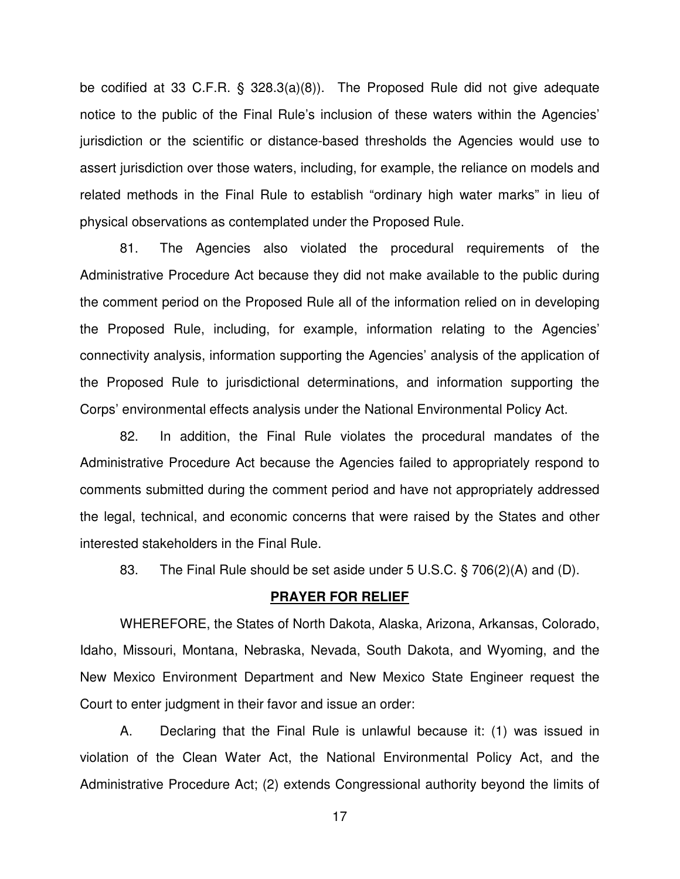be codified at 33 C.F.R. § 328.3(a)(8)). The Proposed Rule did not give adequate notice to the public of the Final Rule's inclusion of these waters within the Agencies' jurisdiction or the scientific or distance-based thresholds the Agencies would use to assert jurisdiction over those waters, including, for example, the reliance on models and related methods in the Final Rule to establish "ordinary high water marks" in lieu of physical observations as contemplated under the Proposed Rule.

81. The Agencies also violated the procedural requirements of the Administrative Procedure Act because they did not make available to the public during the comment period on the Proposed Rule all of the information relied on in developing the Proposed Rule, including, for example, information relating to the Agencies' connectivity analysis, information supporting the Agencies' analysis of the application of the Proposed Rule to jurisdictional determinations, and information supporting the Corps' environmental effects analysis under the National Environmental Policy Act.

82. In addition, the Final Rule violates the procedural mandates of the Administrative Procedure Act because the Agencies failed to appropriately respond to comments submitted during the comment period and have not appropriately addressed the legal, technical, and economic concerns that were raised by the States and other interested stakeholders in the Final Rule.

83. The Final Rule should be set aside under 5 U.S.C. § 706(2)(A) and (D).

#### **PRAYER FOR RELIEF**

WHEREFORE, the States of North Dakota, Alaska, Arizona, Arkansas, Colorado, Idaho, Missouri, Montana, Nebraska, Nevada, South Dakota, and Wyoming, and the New Mexico Environment Department and New Mexico State Engineer request the Court to enter judgment in their favor and issue an order:

A. Declaring that the Final Rule is unlawful because it: (1) was issued in violation of the Clean Water Act, the National Environmental Policy Act, and the Administrative Procedure Act; (2) extends Congressional authority beyond the limits of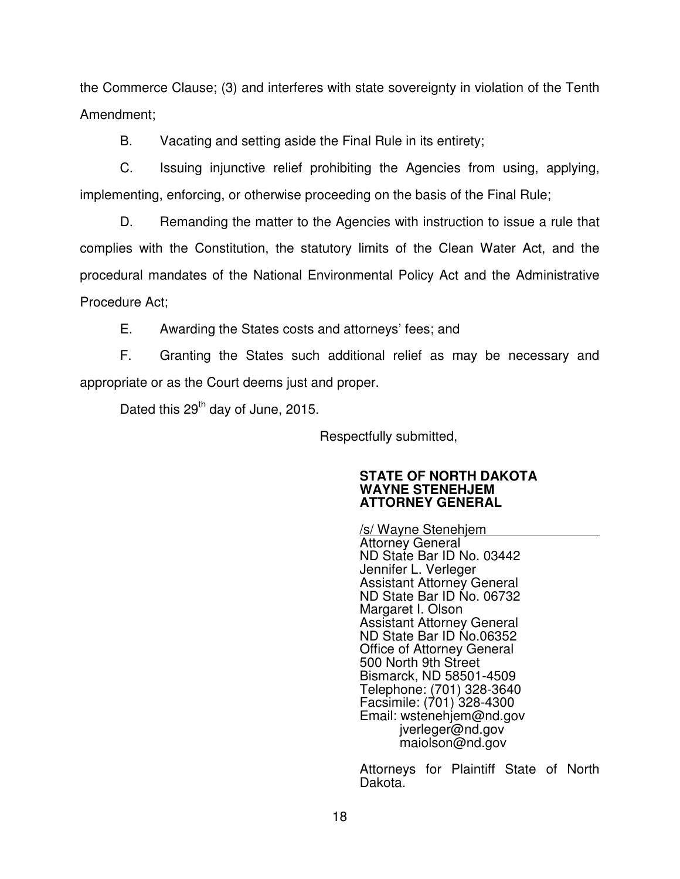the Commerce Clause; (3) and interferes with state sovereignty in violation of the Tenth Amendment;

B. Vacating and setting aside the Final Rule in its entirety;

C. Issuing injunctive relief prohibiting the Agencies from using, applying, implementing, enforcing, or otherwise proceeding on the basis of the Final Rule;

D. Remanding the matter to the Agencies with instruction to issue a rule that complies with the Constitution, the statutory limits of the Clean Water Act, and the procedural mandates of the National Environmental Policy Act and the Administrative Procedure Act;

E. Awarding the States costs and attorneys' fees; and

F. Granting the States such additional relief as may be necessary and appropriate or as the Court deems just and proper.

Dated this 29<sup>th</sup> day of June, 2015.

Respectfully submitted,

## **STATE OF NORTH DAKOTA WAYNE STENEHJEM ATTORNEY GENERAL**

/s/ Wayne Stenehjem Attorney General ND State Bar ID No. 03442 Jennifer L. Verleger Assistant Attorney General ND State Bar ID No. 06732 Margaret I. Olson Assistant Attorney General ND State Bar ID No.06352 Office of Attorney General 500 North 9th Street Bismarck, ND 58501-4509 Telephone: (701) 328-3640 Facsimile: (701) 328-4300 Email: wstenehjem@nd.gov jverleger@nd.gov maiolson@nd.gov

Attorneys for Plaintiff State of North Dakota.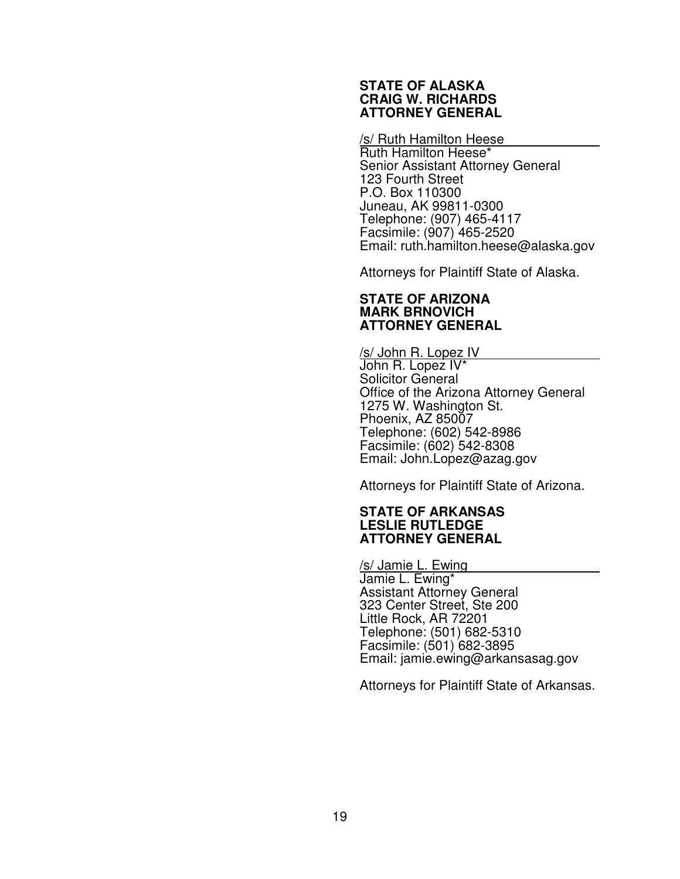### **STATE OF ALASKA CRAIG W. RICHARDS ATTORNEY GENERAL**

### /s/ Ruth Hamilton Heese

Ruth Hamilton Heese\* Senior Assistant Attorney General 123 Fourth Street P.O. Box 110300 Juneau, AK 99811-0300 Telephone: (907) 465-4117 Facsimile: (907) 465-2520 Email: ruth.hamilton.heese@alaska.gov

Attorneys for Plaintiff State of Alaska.

### **STATE OF ARIZONA MARK BRNOVICH ATTORNEY GENERAL**

/s/ John R. Lopez IV John R. Lopez IV\* Solicitor General Office of the Arizona Attorney General 1275 W. Washington St. Phoenix, AZ 85007 Telephone: (602) 542-8986 Facsimile: (602) 542-8308 Email: John.Lopez@azag.gov

Attorneys for Plaintiff State of Arizona.

### **STATE OF ARKANSAS LESLIE RUTLEDGE ATTORNEY GENERAL**

/s/ Jamie L. Ewing Jamie L. Ewing\* Assistant Attorney General 323 Center Street, Ste 200 Little Rock, AR 72201 Telephone: (501) 682-5310 Facsimile: (501) 682-3895 Email: jamie.ewing@arkansasag.gov

Attorneys for Plaintiff State of Arkansas.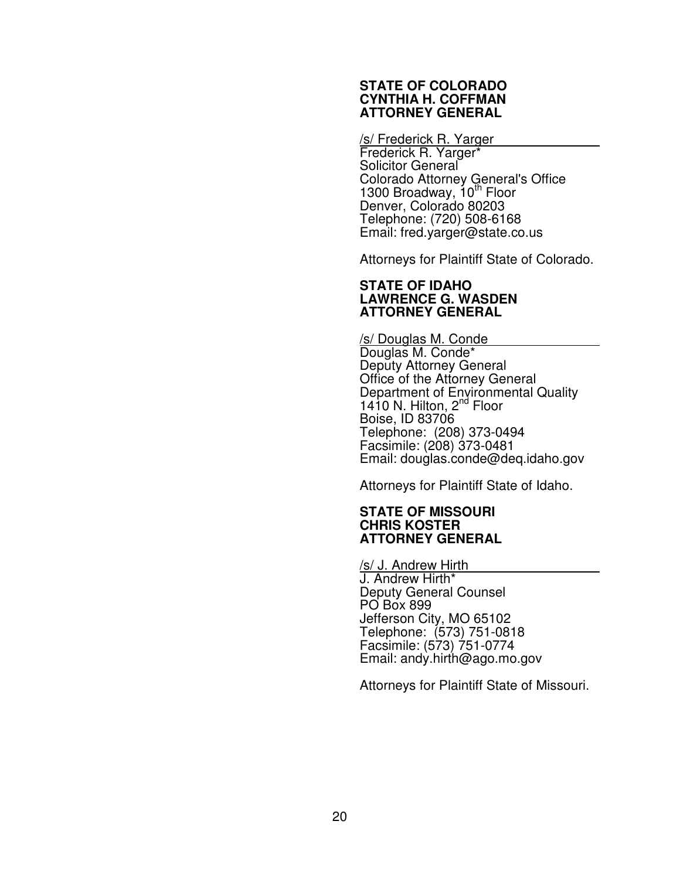### **STATE OF COLORADO CYNTHIA H. COFFMAN ATTORNEY GENERAL**

### /s/ Frederick R. Yarger

Frederick R. Yarger\* Solicitor General Colorado Attorney General's Office 1300 Broadway,  $10^{th}$  Floor Denver, Colorado 80203 Telephone: (720) 508-6168 Email: fred.yarger@state.co.us

Attorneys for Plaintiff State of Colorado.

### **STATE OF IDAHO LAWRENCE G. WASDEN ATTORNEY GENERAL**

/s/ Douglas M. Conde Douglas M. Conde\* Deputy Attorney General Office of the Attorney General Department of Environmental Quality 1410 N. Hilton, 2<sup>nd</sup> Floor Boise, ID 83706 Telephone: (208) 373-0494 Facsimile: (208) 373-0481 Email: douglas.conde@deq.idaho.gov

Attorneys for Plaintiff State of Idaho.

## **STATE OF MISSOURI CHRIS KOSTER ATTORNEY GENERAL**

/s/ J. Andrew Hirth J. Andrew Hirth\* Deputy General Counsel PO Box 899 Jefferson City, MO 65102 Telephone: (573) 751-0818 Facsimile: (573) 751-0774 Email: andy.hirth@ago.mo.gov

Attorneys for Plaintiff State of Missouri.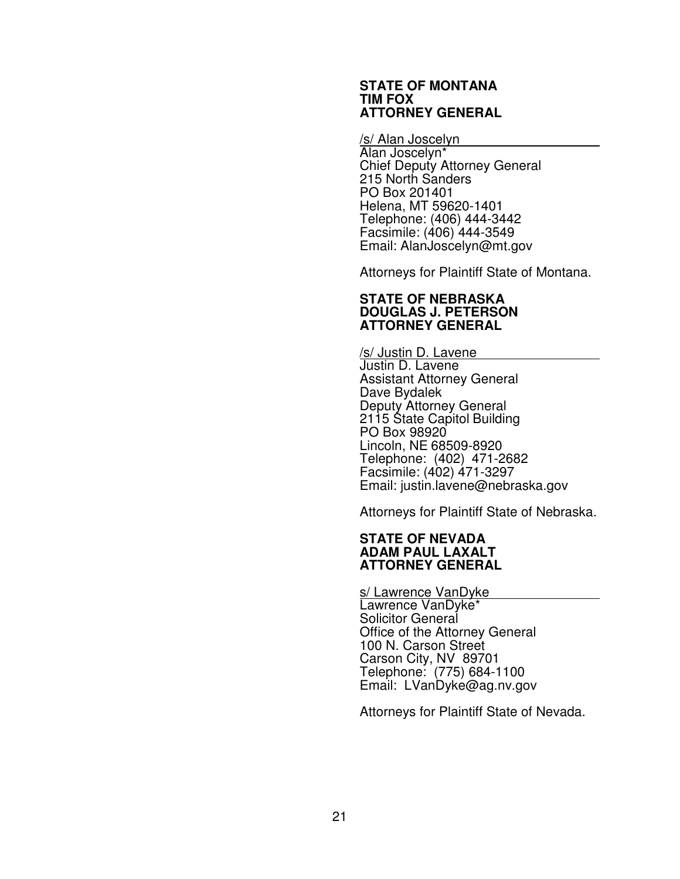#### **STATE OF MONTANA TIM FOX ATTORNEY GENERAL**

/s/ Alan Joscelyn

Alan Joscelyn\* Chief Deputy Attorney General 215 North Sanders PO Box 201401 Helena, MT 59620-1401 Telephone: (406) 444-3442 Facsimile: (406) 444-3549 Email: AlanJoscelyn@mt.gov

Attorneys for Plaintiff State of Montana.

### **STATE OF NEBRASKA DOUGLAS J. PETERSON ATTORNEY GENERAL**

/s/ Justin D. Lavene Justin D. Lavene Assistant Attorney General Dave Bydalek Deputy Attorney General 2115 State Capitol Building PO Box 98920 Lincoln, NE 68509-8920 Telephone: (402) 471-2682 Facsimile: (402) 471-3297 Email: justin.lavene@nebraska.gov

Attorneys for Plaintiff State of Nebraska.

## **STATE OF NEVADA ADAM PAUL LAXALT ATTORNEY GENERAL**

s/ Lawrence VanDyke

Lawrence VanDyke\* Solicitor General Office of the Attorney General 100 N. Carson Street Carson City, NV 89701 Telephone: (775) 684-1100 Email: LVanDyke@ag.nv.gov

Attorneys for Plaintiff State of Nevada.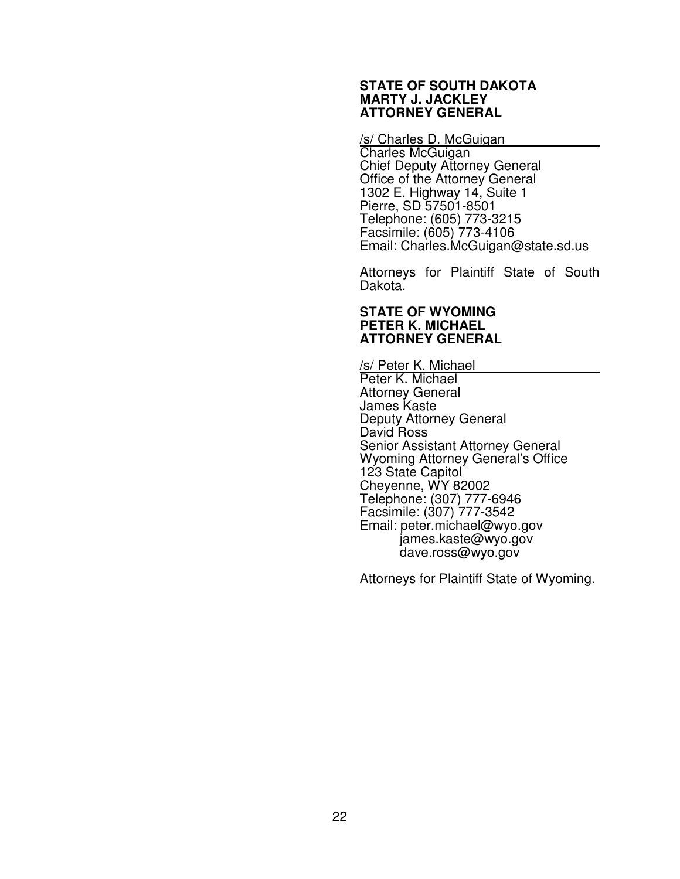#### **STATE OF SOUTH DAKOTA MARTY J. JACKLEY ATTORNEY GENERAL**

#### /s/ Charles D. McGuigan

Charles McGuigan Chief Deputy Attorney General Office of the Attorney General 1302 E. Highway 14, Suite 1 Pierre, SD 57501-8501 Telephone: (605) 773-3215 Facsimile: (605) 773-4106 Email: Charles.McGuigan@state.sd.us

Attorneys for Plaintiff State of South Dakota.

## **STATE OF WYOMING PETER K. MICHAEL ATTORNEY GENERAL**

/s/ Peter K. Michael

Peter K. Michael Attorney General James Kaste Deputy Attorney General David Ross Senior Assistant Attorney General Wyoming Attorney General's Office 123 State Capitol Cheyenne, WY 82002 Telephone: (307) 777-6946 Facsimile: (307) 777-3542 Email: peter.michael@wyo.gov james.kaste@wyo.gov dave.ross@wyo.gov

Attorneys for Plaintiff State of Wyoming.